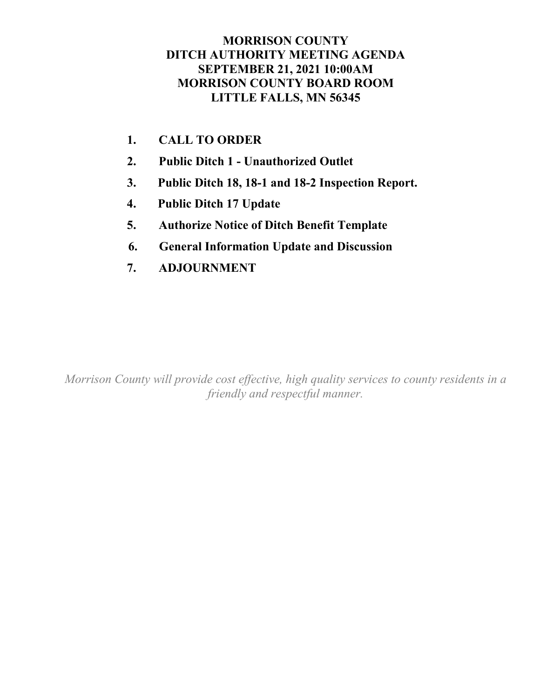# **MORRISON COUNTY DITCH AUTHORITY MEETING AGENDA SEPTEMBER 21, 2021 10:00AM MORRISON COUNTY BOARD ROOM LITTLE FALLS, MN 56345**

- **1. CALL TO ORDER**
- **2. Public Ditch 1 - Unauthorized Outlet**
- **3. Public Ditch 18, 18-1 and 18-2 Inspection Report.**
- **4. Public Ditch 17 Update**
- **5. Authorize Notice of Ditch Benefit Template**
- **6. General Information Update and Discussion**
- **7. ADJOURNMENT**

*Morrison County will provide cost effective, high quality services to county residents in a friendly and respectful manner.*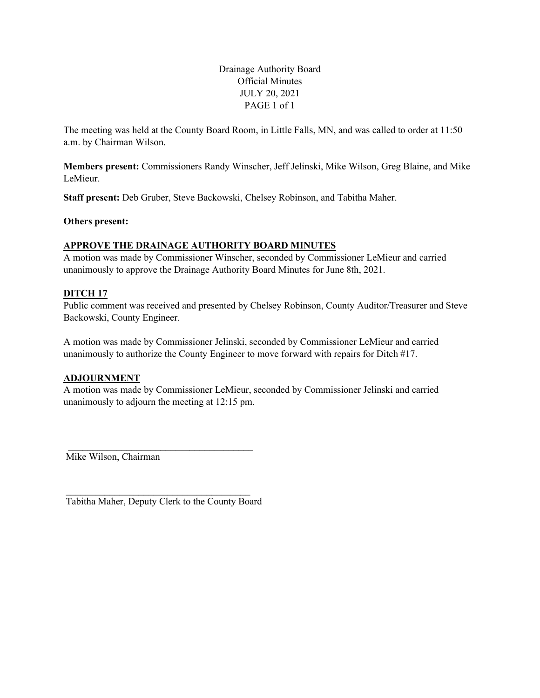Drainage Authority Board Official Minutes JULY 20, 2021 PAGE 1 of 1

The meeting was held at the County Board Room, in Little Falls, MN, and was called to order at 11:50 a.m. by Chairman Wilson.

**Members present:** Commissioners Randy Winscher, Jeff Jelinski, Mike Wilson, Greg Blaine, and Mike LeMieur.

**Staff present:** Deb Gruber, Steve Backowski, Chelsey Robinson, and Tabitha Maher.

**Others present:**

## **APPROVE THE DRAINAGE AUTHORITY BOARD MINUTES**

A motion was made by Commissioner Winscher, seconded by Commissioner LeMieur and carried unanimously to approve the Drainage Authority Board Minutes for June 8th, 2021.

## **DITCH 17**

Public comment was received and presented by Chelsey Robinson, County Auditor/Treasurer and Steve Backowski, County Engineer.

A motion was made by Commissioner Jelinski, seconded by Commissioner LeMieur and carried unanimously to authorize the County Engineer to move forward with repairs for Ditch #17.

# **ADJOURNMENT**

A motion was made by Commissioner LeMieur, seconded by Commissioner Jelinski and carried unanimously to adjourn the meeting at 12:15 pm.

Mike Wilson, Chairman

\_\_\_\_\_\_\_\_\_\_\_\_\_\_\_\_\_\_\_\_\_\_\_\_\_\_\_\_\_\_\_\_\_\_\_\_\_\_ Tabitha Maher, Deputy Clerk to the County Board

\_\_\_\_\_\_\_\_\_\_\_\_\_\_\_\_\_\_\_\_\_\_\_\_\_\_\_\_\_\_\_\_\_\_\_\_\_\_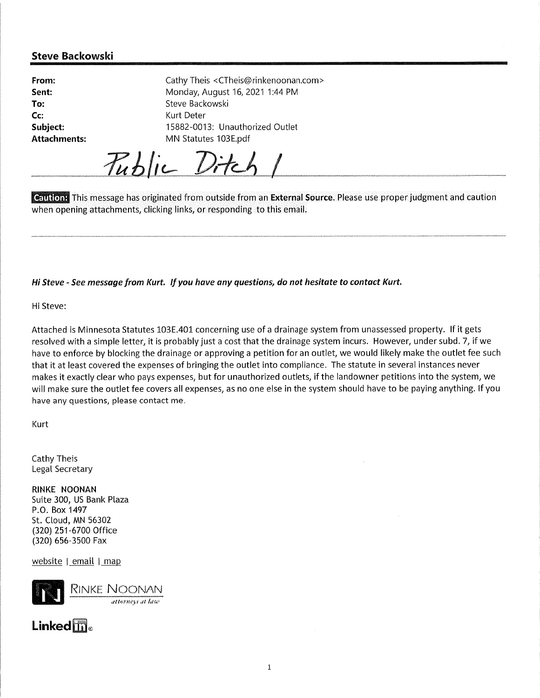# **Steve Backowski**

| From:               | Cathy Theis <ctheis@rinkenoonan.com></ctheis@rinkenoonan.com> |
|---------------------|---------------------------------------------------------------|
| Sent:               | Monday, August 16, 2021 1:44 PM                               |
| To:                 | Steve Backowski                                               |
| Cc                  | Kurt Deter                                                    |
| Subject:            | 15882-0013: Unauthorized Outlet                               |
| <b>Attachments:</b> | MN Statutes 103E.pdf                                          |
|                     |                                                               |

Public Ditch 1

**Caution:** This message has originated from outside from an **External Source**. Please use proper judgment and caution when opening attachments, clicking links, or responding to this email.

Hi Steve - See message from Kurt. If you have any questions, do not hesitate to contact Kurt.

Hi Steve:

Attached is Minnesota Statutes 103E.401 concerning use of a drainage system from unassessed property. If it gets resolved with a simple letter, it is probably just a cost that the drainage system incurs. However, under subd. 7, if we have to enforce by blocking the drainage or approving a petition for an outlet, we would likely make the outlet fee such that it at least covered the expenses of bringing the outlet into compliance. The statute in several instances never makes it exactly clear who pays expenses, but for unauthorized outlets, if the landowner petitions into the system, we will make sure the outlet fee covers all expenses, as no one else in the system should have to be paying anything. If you have any questions, please contact me.

Kurt

Cathy Theis Legal Secretary

RINKE NOONAN Suite 300, US Bank Plaza P.O. Box 1497 St. Cloud, MN 56302 (320) 251-6700 Office (320) 656-3500 Fax

website | email | map



# $Linkedm<sub>e</sub>$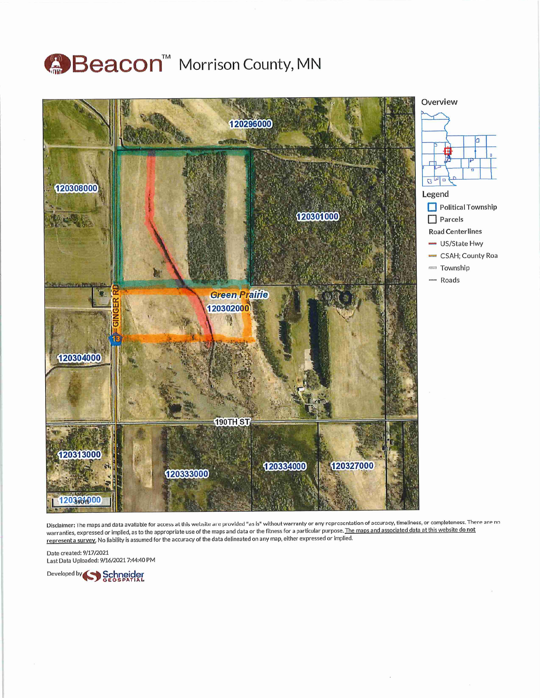# Beacon™ Morrison County, MN



Disclaimer: The maps and data available for access at this website are provided "as is" without warranty or any representation of accuracy, timeliness, or completeness. There are no warranties, expressed or implied, as to the appropriate use of the maps and data or the fitness for a particular purpose. The maps and associated data at this website do not represent a survey. No liability is assumed for the accuracy of the data delineated on any map, either expressed or implied.

Date created: 9/17/2021 Last Data Uploaded: 9/16/2021 7:44:40 PM

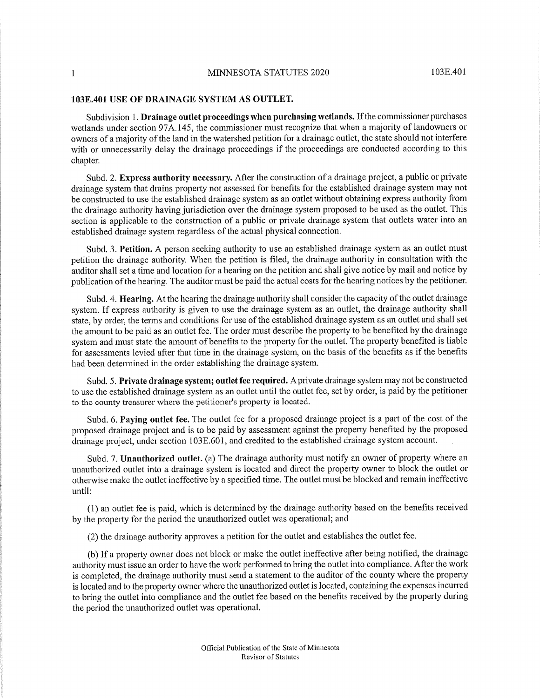#### MINNESOTA STATUTES 2020

#### 103E.401 USE OF DRAINAGE SYSTEM AS OUTLET.

Subdivision 1. Drainage outlet proceedings when purchasing wetlands. If the commissioner purchases wetlands under section 97A.145, the commissioner must recognize that when a majority of landowners or owners of a majority of the land in the watershed petition for a drainage outlet, the state should not interfere with or unnecessarily delay the drainage proceedings if the proceedings are conducted according to this chapter.

Subd. 2. Express authority necessary. After the construction of a drainage project, a public or private drainage system that drains property not assessed for benefits for the established drainage system may not be constructed to use the established drainage system as an outlet without obtaining express authority from the drainage authority having jurisdiction over the drainage system proposed to be used as the outlet. This section is applicable to the construction of a public or private drainage system that outlets water into an established drainage system regardless of the actual physical connection.

Subd. 3. Petition. A person seeking authority to use an established drainage system as an outlet must petition the drainage authority. When the petition is filed, the drainage authority in consultation with the auditor shall set a time and location for a hearing on the petition and shall give notice by mail and notice by publication of the hearing. The auditor must be paid the actual costs for the hearing notices by the petitioner.

Subd. 4. Hearing. At the hearing the drainage authority shall consider the capacity of the outlet drainage system. If express authority is given to use the drainage system as an outlet, the drainage authority shall state, by order, the terms and conditions for use of the established drainage system as an outlet and shall set the amount to be paid as an outlet fee. The order must describe the property to be benefited by the drainage system and must state the amount of benefits to the property for the outlet. The property benefited is liable for assessments levied after that time in the drainage system, on the basis of the benefits as if the benefits had been determined in the order establishing the drainage system.

Subd. 5. Private drainage system; outlet fee required. A private drainage system may not be constructed to use the established drainage system as an outlet until the outlet fee, set by order, is paid by the petitioner to the county treasurer where the petitioner's property is located.

Subd. 6. Paying outlet fee. The outlet fee for a proposed drainage project is a part of the cost of the proposed drainage project and is to be paid by assessment against the property benefited by the proposed drainage project, under section 103E.601, and credited to the established drainage system account.

Subd. 7. Unauthorized outlet. (a) The drainage authority must notify an owner of property where an unauthorized outlet into a drainage system is located and direct the property owner to block the outlet or otherwise make the outlet ineffective by a specified time. The outlet must be blocked and remain ineffective until:

(1) an outlet fee is paid, which is determined by the drainage authority based on the benefits received by the property for the period the unauthorized outlet was operational; and

(2) the drainage authority approves a petition for the outlet and establishes the outlet fee.

(b) If a property owner does not block or make the outlet ineffective after being notified, the drainage authority must issue an order to have the work performed to bring the outlet into compliance. After the work is completed, the drainage authority must send a statement to the auditor of the county where the property is located and to the property owner where the unauthorized outlet is located, containing the expenses incurred to bring the outlet into compliance and the outlet fee based on the benefits received by the property during the period the unauthorized outlet was operational.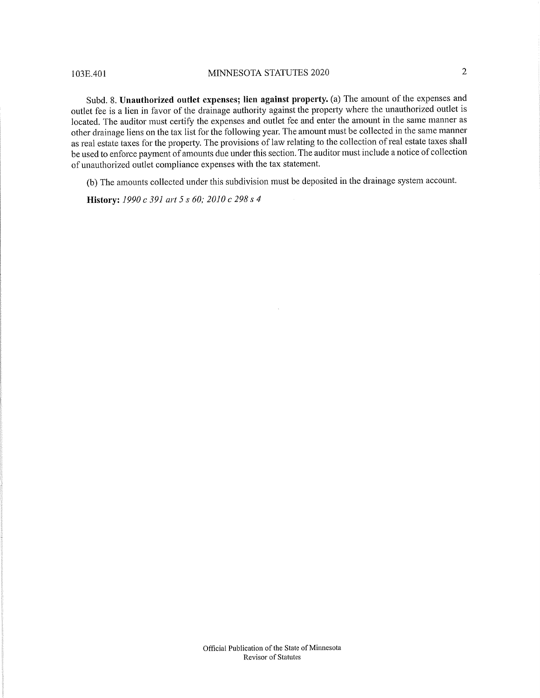103E.401

#### MINNESOTA STATUTES 2020

 $\overline{2}$ 

Subd. 8. Unauthorized outlet expenses; lien against property. (a) The amount of the expenses and outlet fee is a lien in favor of the drainage authority against the property where the unauthorized outlet is located. The auditor must certify the expenses and outlet fee and enter the amount in the same manner as other drainage liens on the tax list for the following year. The amount must be collected in the same manner as real estate taxes for the property. The provisions of law relating to the collection of real estate taxes shall be used to enforce payment of amounts due under this section. The auditor must include a notice of collection of unauthorized outlet compliance expenses with the tax statement.

(b) The amounts collected under this subdivision must be deposited in the drainage system account.

 $\mathcal{L}$ 

History: 1990 c 391 art 5 s 60; 2010 c 298 s 4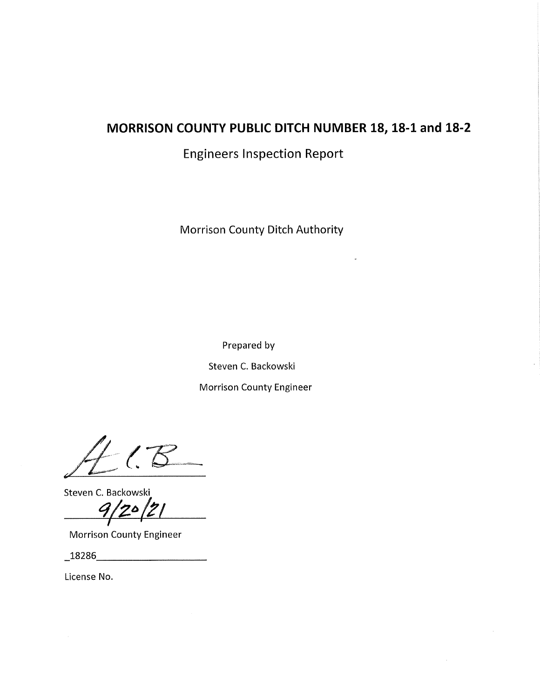# MORRISON COUNTY PUBLIC DITCH NUMBER 18, 18-1 and 18-2

**Engineers Inspection Report** 

Morrison County Ditch Authority

Prepared by

Steven C. Backowski

**Morrison County Engineer** 

Steven C. Backowski

**Morrison County Engineer** 

 $\begin{array}{c|c} \textbf{18286} \end{array}$ 

License No.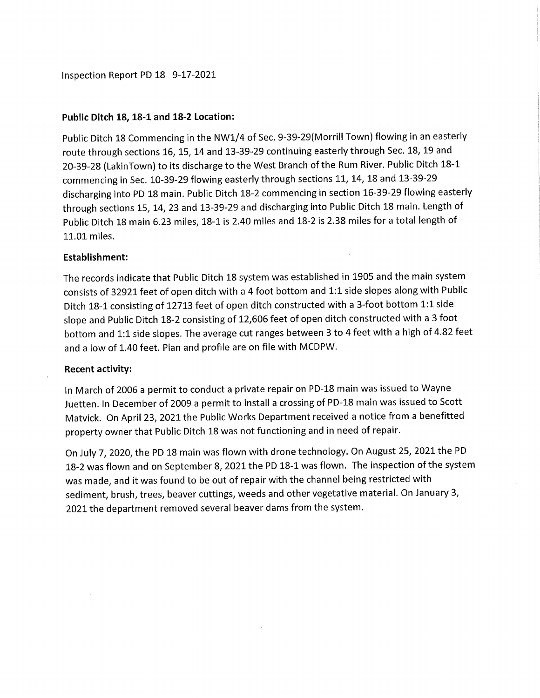Inspection Report PD 18 9-17-2021

## Public Ditch 18, 18-1 and 18-2 Location:

Public Ditch 18 Commencing in the NW1/4 of Sec. 9-39-29(Morrill Town) flowing in an easterly route through sections 16, 15, 14 and 13-39-29 continuing easterly through Sec. 18, 19 and 20-39-28 (LakinTown) to its discharge to the West Branch of the Rum River. Public Ditch 18-1 commencing in Sec. 10-39-29 flowing easterly through sections 11, 14, 18 and 13-39-29 discharging into PD 18 main. Public Ditch 18-2 commencing in section 16-39-29 flowing easterly through sections 15, 14, 23 and 13-39-29 and discharging into Public Ditch 18 main. Length of Public Ditch 18 main 6.23 miles, 18-1 is 2.40 miles and 18-2 is 2.38 miles for a total length of 11.01 miles.

# **Establishment:**

The records indicate that Public Ditch 18 system was established in 1905 and the main system consists of 32921 feet of open ditch with a 4 foot bottom and 1:1 side slopes along with Public Ditch 18-1 consisting of 12713 feet of open ditch constructed with a 3-foot bottom 1:1 side slope and Public Ditch 18-2 consisting of 12,606 feet of open ditch constructed with a 3 foot bottom and 1:1 side slopes. The average cut ranges between 3 to 4 feet with a high of 4.82 feet and a low of 1.40 feet. Plan and profile are on file with MCDPW.

### **Recent activity:**

In March of 2006 a permit to conduct a private repair on PD-18 main was issued to Wayne Juetten. In December of 2009 a permit to install a crossing of PD-18 main was issued to Scott Matvick. On April 23, 2021 the Public Works Department received a notice from a benefitted property owner that Public Ditch 18 was not functioning and in need of repair.

On July 7, 2020, the PD 18 main was flown with drone technology. On August 25, 2021 the PD 18-2 was flown and on September 8, 2021 the PD 18-1 was flown. The inspection of the system was made, and it was found to be out of repair with the channel being restricted with sediment, brush, trees, beaver cuttings, weeds and other vegetative material. On January 3, 2021 the department removed several beaver dams from the system.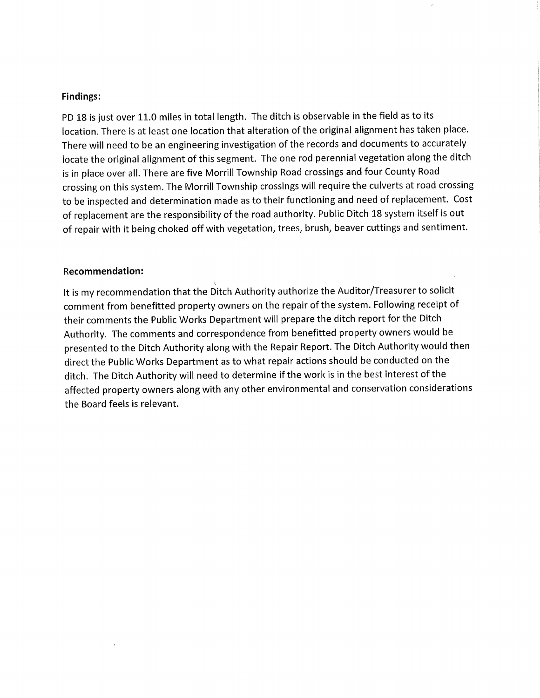#### **Findings:**

PD 18 is just over 11.0 miles in total length. The ditch is observable in the field as to its location. There is at least one location that alteration of the original alignment has taken place. There will need to be an engineering investigation of the records and documents to accurately locate the original alignment of this segment. The one rod perennial vegetation along the ditch is in place over all. There are five Morrill Township Road crossings and four County Road crossing on this system. The Morrill Township crossings will require the culverts at road crossing to be inspected and determination made as to their functioning and need of replacement. Cost of replacement are the responsibility of the road authority. Public Ditch 18 system itself is out of repair with it being choked off with vegetation, trees, brush, beaver cuttings and sentiment.

#### **Recommendation:**

It is my recommendation that the Ditch Authority authorize the Auditor/Treasurer to solicit comment from benefitted property owners on the repair of the system. Following receipt of their comments the Public Works Department will prepare the ditch report for the Ditch Authority. The comments and correspondence from benefitted property owners would be presented to the Ditch Authority along with the Repair Report. The Ditch Authority would then direct the Public Works Department as to what repair actions should be conducted on the ditch. The Ditch Authority will need to determine if the work is in the best interest of the affected property owners along with any other environmental and conservation considerations the Board feels is relevant.